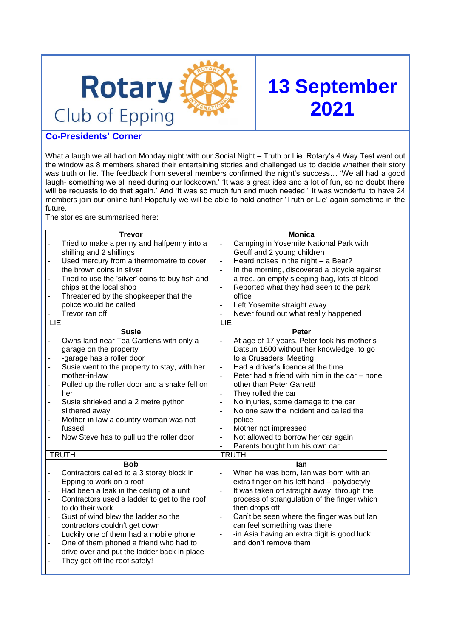

# **13 September 2021**

# **Co-Presidents' Corner**

What a laugh we all had on Monday night with our Social Night – Truth or Lie. Rotary's 4 Way Test went out the window as 8 members shared their entertaining stories and challenged us to decide whether their story was truth or lie. The feedback from several members confirmed the night's success... 'We all had a good laugh- something we all need during our lockdown.' 'It was a great idea and a lot of fun, so no doubt there will be requests to do that again.' And 'It was so much fun and much needed.' It was wonderful to have 24 members join our online fun! Hopefully we will be able to hold another 'Truth or Lie' again sometime in the future.

The stories are summarised here:

|                          | <b>Trevor</b>                                   |                              | <b>Monica</b>                                                        |  |
|--------------------------|-------------------------------------------------|------------------------------|----------------------------------------------------------------------|--|
| $\overline{\phantom{0}}$ | Tried to make a penny and halfpenny into a      | $\blacksquare$               | Camping in Yosemite National Park with                               |  |
|                          | shilling and 2 shillings                        |                              | Geoff and 2 young children                                           |  |
| $\overline{\phantom{a}}$ | Used mercury from a thermometre to cover        | $\blacksquare$               | Heard noises in the night - a Bear?                                  |  |
|                          | the brown coins in silver                       | $\overline{a}$               | In the morning, discovered a bicycle against                         |  |
|                          | Tried to use the 'silver' coins to buy fish and |                              | a tree, an empty sleeping bag, lots of blood                         |  |
|                          | chips at the local shop                         |                              | Reported what they had seen to the park                              |  |
|                          | Threatened by the shopkeeper that the           |                              | office                                                               |  |
|                          | police would be called                          |                              | Left Yosemite straight away                                          |  |
|                          | Trevor ran off!                                 |                              | Never found out what really happened                                 |  |
| LIE                      |                                                 | LIE                          |                                                                      |  |
|                          | <b>Susie</b>                                    |                              | Peter                                                                |  |
| $\overline{\phantom{0}}$ | Owns land near Tea Gardens with only a          | $\qquad \qquad \Box$         | At age of 17 years, Peter took his mother's                          |  |
|                          | garage on the property                          |                              | Datsun 1600 without her knowledge, to go                             |  |
|                          | -garage has a roller door                       |                              | to a Crusaders' Meeting                                              |  |
| $\overline{\phantom{a}}$ | Susie went to the property to stay, with her    | $\blacksquare$               | Had a driver's licence at the time                                   |  |
|                          | mother-in-law                                   | $\overline{a}$               | Peter had a friend with him in the car - none                        |  |
| $\overline{\phantom{0}}$ | Pulled up the roller door and a snake fell on   |                              | other than Peter Garrett!                                            |  |
|                          | her                                             | $\blacksquare$               | They rolled the car                                                  |  |
|                          | Susie shrieked and a 2 metre python             | $\qquad \qquad \blacksquare$ | No injuries, some damage to the car                                  |  |
|                          | slithered away                                  |                              | No one saw the incident and called the                               |  |
| $\overline{\phantom{0}}$ | Mother-in-law a country woman was not           |                              | police                                                               |  |
|                          | fussed                                          |                              | Mother not impressed                                                 |  |
|                          | Now Steve has to pull up the roller door        | $\overline{a}$               | Not allowed to borrow her car again                                  |  |
|                          |                                                 | $\overline{a}$               | Parents bought him his own car                                       |  |
|                          | <b>TRUTH</b>                                    |                              | <b>TRUTH</b>                                                         |  |
|                          | <b>Bob</b>                                      |                              | lan                                                                  |  |
|                          | Contractors called to a 3 storey block in       | $\overline{a}$               | When he was born, Ian was born with an                               |  |
|                          | Epping to work on a roof                        |                              | extra finger on his left hand - polydactyly                          |  |
|                          | Had been a leak in the ceiling of a unit        | $\overline{a}$               | It was taken off straight away, through the                          |  |
|                          | Contractors used a ladder to get to the roof    |                              | process of strangulation of the finger which                         |  |
|                          | to do their work                                |                              | then drops off                                                       |  |
|                          | Gust of wind blew the ladder so the             |                              | Can't be seen where the finger was but lan                           |  |
|                          | contractors couldn't get down                   |                              | can feel something was there                                         |  |
|                          | Luckily one of them had a mobile phone          |                              | -in Asia having an extra digit is good luck<br>and don't remove them |  |
|                          | One of them phoned a friend who had to          |                              |                                                                      |  |
|                          | drive over and put the ladder back in place     |                              |                                                                      |  |
|                          | They got off the roof safely!                   |                              |                                                                      |  |
|                          |                                                 |                              |                                                                      |  |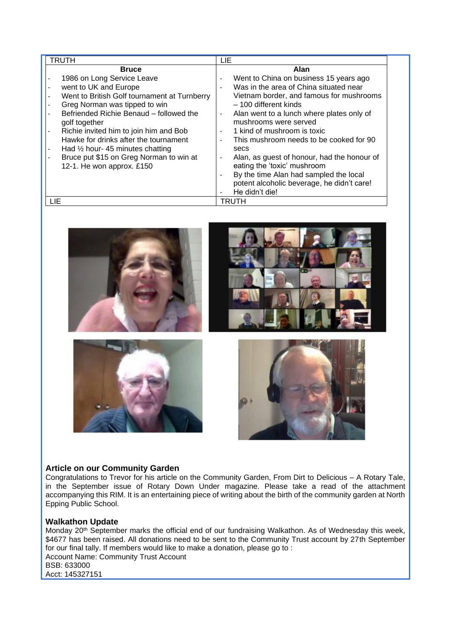| TRUTH                                                                   | LIE                                                                     |
|-------------------------------------------------------------------------|-------------------------------------------------------------------------|
| <b>Bruce</b>                                                            | Alan                                                                    |
| 1986 on Long Service Leave                                              | Went to China on business 15 years ago<br>$\overline{\phantom{a}}$      |
| went to UK and Europe                                                   | Was in the area of China situated near                                  |
| Went to British Golf tournament at Turnberry<br>$\blacksquare$          | Vietnam border, and famous for mushrooms                                |
| Greg Norman was tipped to win                                           | - 100 different kinds                                                   |
| Befriended Richie Benaud - followed the                                 | Alan went to a lunch where plates only of<br>$\overline{\phantom{a}}$   |
| golf together                                                           | mushrooms were served                                                   |
| Richie invited him to join him and Bob                                  | 1 kind of mushroom is toxic                                             |
| Hawke for drinks after the tournament                                   | This mushroom needs to be cooked for 90<br>$\overline{\phantom{a}}$     |
| Had $\frac{1}{2}$ hour- 45 minutes chatting<br>$\overline{\phantom{a}}$ | secs                                                                    |
| Bruce put \$15 on Greg Norman to win at                                 | Alan, as guest of honour, had the honour of<br>$\overline{\phantom{a}}$ |
| 12-1. He won approx. £150                                               | eating the 'toxic' mushroom                                             |
|                                                                         | By the time Alan had sampled the local                                  |
|                                                                         | potent alcoholic beverage, he didn't care!                              |
|                                                                         | He didn't die!                                                          |
| LIE                                                                     | TRUTH                                                                   |



#### **Article on our Community Garden**

Congratulations to Trevor for his article on the Community Garden, From Dirt to Delicious – A Rotary Tale, in the September issue of Rotary Down Under magazine. Please take a read of the attachment accompanying this RIM. It is an entertaining piece of writing about the birth of the community garden at North Epping Public School.

#### **Walkathon Update**

Monday 20<sup>th</sup> September marks the official end of our fundraising Walkathon. As of Wednesday this week, \$4677 has been raised. All donations need to be sent to the Community Trust account by 27th September for our final tally. If members would like to make a donation, please go to : Account Name: Community Trust Account BSB: 633000 Acct: 145327151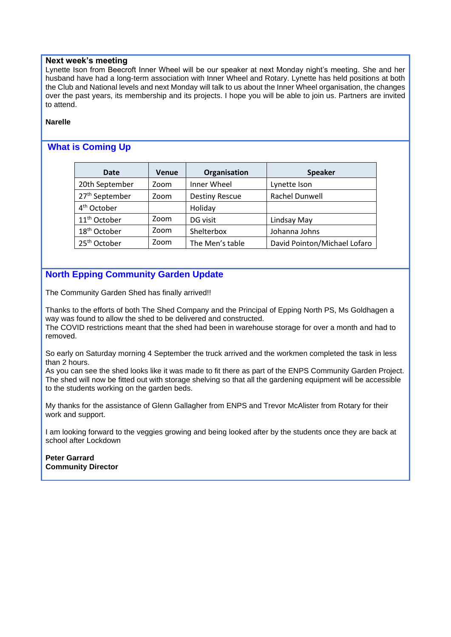#### **Next week's meeting**

Lynette Ison from Beecroft Inner Wheel will be our speaker at next Monday night's meeting. She and her husband have had a long-term association with Inner Wheel and Rotary. Lynette has held positions at both the Club and National levels and next Monday will talk to us about the Inner Wheel organisation, the changes over the past years, its membership and its projects. I hope you will be able to join us. Partners are invited to attend.

#### **Narelle**

## **What is Coming Up**

| <b>Date</b>                | <b>Venue</b> | Organisation          | <b>Speaker</b>               |
|----------------------------|--------------|-----------------------|------------------------------|
| 20th September             | Zoom         | Inner Wheel           | Lynette Ison                 |
| 27 <sup>th</sup> September | Zoom         | <b>Destiny Rescue</b> | Rachel Dunwell               |
| 4 <sup>th</sup> October    |              | Holiday               |                              |
| 11 <sup>th</sup> October   | Zoom         | DG visit              | Lindsay May                  |
| 18 <sup>th</sup> October   | Zoom         | Shelterbox            | Johanna Johns                |
| 25 <sup>th</sup> October   | Zoom         | The Men's table       | David Pointon/Michael Lofaro |

## **North Epping Community Garden Update**

The Community Garden Shed has finally arrived!!

Thanks to the efforts of both The Shed Company and the Principal of Epping North PS, Ms Goldhagen a way was found to allow the shed to be delivered and constructed.

The COVID restrictions meant that the shed had been in warehouse storage for over a month and had to removed.

So early on Saturday morning 4 September the truck arrived and the workmen completed the task in less than 2 hours.

As you can see the shed looks like it was made to fit there as part of the ENPS Community Garden Project. The shed will now be fitted out with storage shelving so that all the gardening equipment will be accessible to the students working on the garden beds.

My thanks for the assistance of Glenn Gallagher from ENPS and Trevor McAlister from Rotary for their work and support.

I am looking forward to the veggies growing and being looked after by the students once they are back at school after Lockdown

**Peter Garrard Community Director**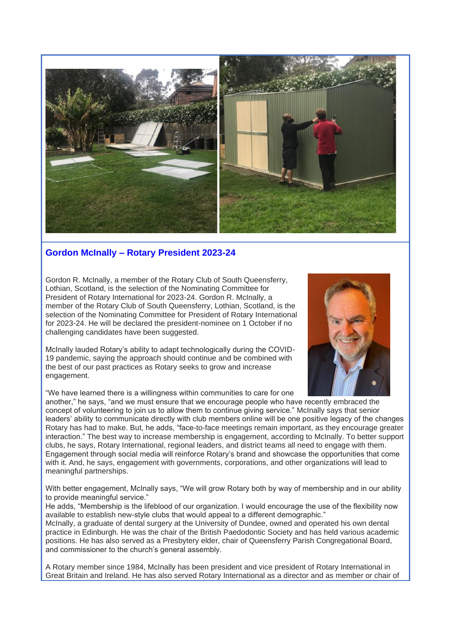

## **Gordon McInally – Rotary President 2023-24**

Gordon R. McInally, a member of the Rotary Club of South Queensferry, Lothian, Scotland, is the selection of the Nominating Committee for President of Rotary International for 2023-24. Gordon R. McInally, a member of the Rotary Club of South Queensferry, Lothian, Scotland, is the selection of the Nominating Committee for President of Rotary International for 2023-24. He will be declared the president-nominee on 1 October if no challenging candidates have been suggested.

McInally lauded Rotary's ability to adapt technologically during the COVID-19 pandemic, saying the approach should continue and be combined with the best of our past practices as Rotary seeks to grow and increase engagement.

"We have learned there is a willingness within communities to care for one



another," he says, "and we must ensure that we encourage people who have recently embraced the concept of volunteering to join us to allow them to continue giving service." McInally says that senior leaders' ability to communicate directly with club members online will be one positive legacy of the changes Rotary has had to make. But, he adds, "face-to-face meetings remain important, as they encourage greater interaction." The best way to increase membership is engagement, according to McInally. To better support clubs, he says, Rotary International, regional leaders, and district teams all need to engage with them. Engagement through social media will reinforce Rotary's brand and showcase the opportunities that come with it. And, he says, engagement with governments, corporations, and other organizations will lead to meaningful partnerships.

With better engagement, McInally says, "We will grow Rotary both by way of membership and in our ability to provide meaningful service."

He adds, "Membership is the lifeblood of our organization. I would encourage the use of the flexibility now available to establish new-style clubs that would appeal to a different demographic."

McInally, a graduate of dental surgery at the University of Dundee, owned and operated his own dental practice in Edinburgh. He was the chair of the British Paedodontic Society and has held various academic positions. He has also served as a Presbytery elder, chair of Queensferry Parish Congregational Board, and commissioner to the church's general assembly.

A Rotary member since 1984, McInally has been president and vice president of Rotary International in Great Britain and Ireland. He has also served Rotary International as a director and as member or chair of